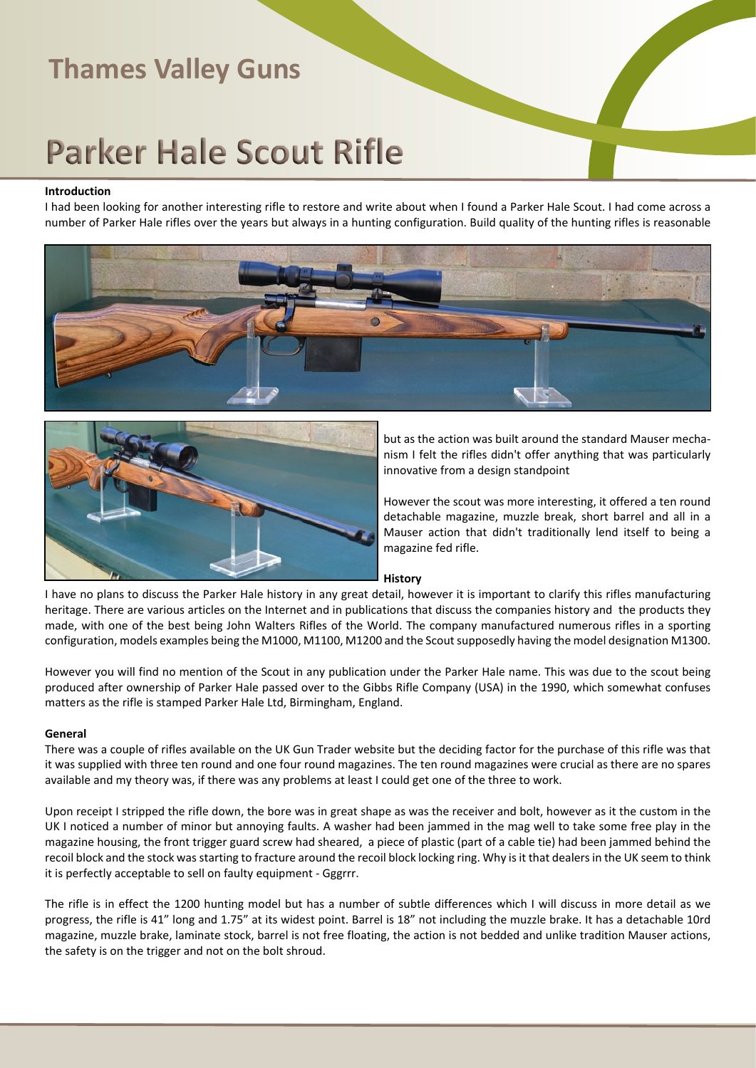# **Parker Hale Scout Rifle**

#### **Introduction**

I had been looking for another interesting rifle to restore and write about when I found a Parker Hale Scout. I had come across a number of Parker Hale rifles over the years but always in a hunting configuration. Build quality of the hunting rifles is reasonable





but as the action was built around the standard Mauser mechanism I felt the rifles didn't offer anything that was particularly innovative from a design standpoint

However the scout was more interesting, it offered a ten round detachable magazine, muzzle break, short barrel and all in a Mauser action that didn't traditionally lend itself to being a magazine fed rifle.

#### **History**

I have no plans to discuss the Parker Hale history in any great detail, however it is important to clarify this rifles manufacturing heritage. There are various articles on the Internet and in publications that discuss the companies history and the products they made, with one of the best being John Walters Rifles of the World. The company manufactured numerous rifles in a sporting configuration, models examples being the M1000, M1100, M1200 and the Scout supposedly having the model designation M1300.

However you will find no mention of the Scout in any publication under the Parker Hale name. This was due to the scout being produced after ownership of Parker Hale passed over to the Gibbs Rifle Company (USA) in the 1990, which somewhat confuses matters as the rifle is stamped Parker Hale Ltd, Birmingham, England.

#### **General**

There was a couple of rifles available on the UK Gun Trader website but the deciding factor for the purchase of this rifle was that it was supplied with three ten round and one four round magazines. The ten round magazines were crucial as there are no spares available and my theory was, if there was any problems at least I could get one of the three to work.

Upon receipt I stripped the rifle down, the bore was in great shape as was the receiver and bolt, however as it the custom in the UK I noticed a number of minor but annoying faults. A washer had been jammed in the mag well to take some free play in the magazine housing, the front trigger guard screw had sheared, a piece of plastic (part of a cable tie) had been jammed behind the recoil block and the stock was starting to fracture around the recoil block locking ring. Why is it that dealers in the UK seem to think it is perfectly acceptable to sell on faulty equipment - Gggrrr.

The rifle is in effect the 1200 hunting model but has a number of subtle differences which I will discuss in more detail as we progress, the rifle is 41" long and 1.75" at its widest point. Barrel is 18" not including the muzzle brake. It has a detachable 10rd magazine, muzzle brake, laminate stock, barrel is not free floating, the action is not bedded and unlike tradition Mauser actions, the safety is on the trigger and not on the bolt shroud.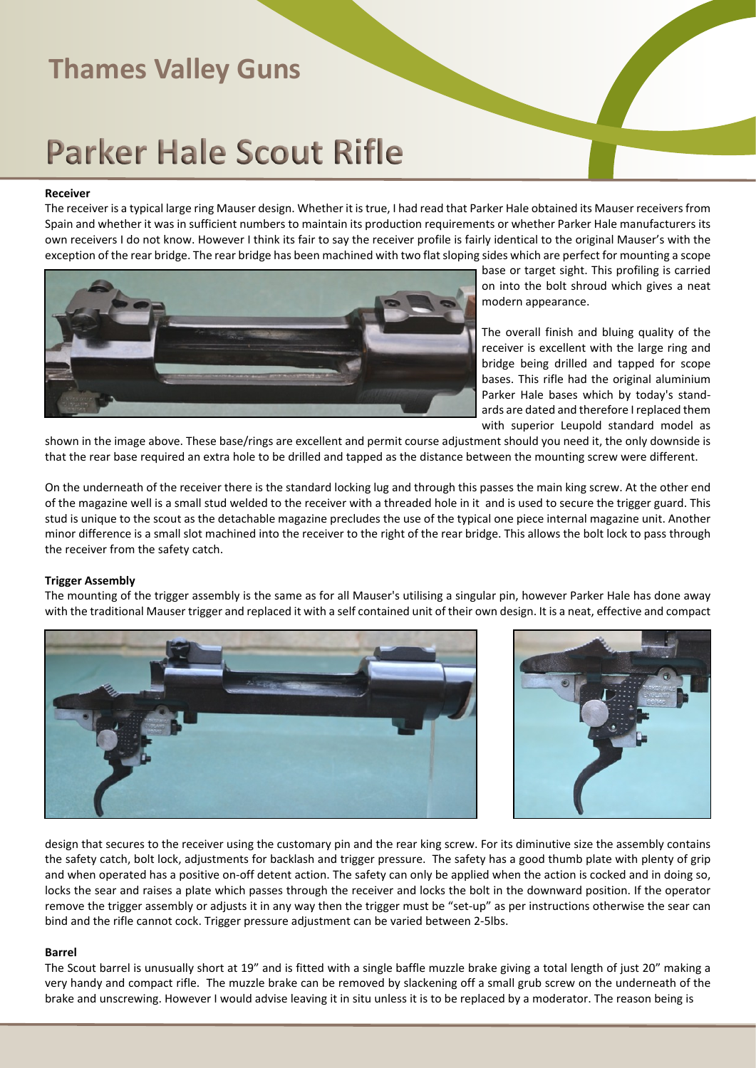# **Parker Hale Scout Rifle**

#### **Receiver**

The receiver is a typical large ring Mauser design. Whether it is true, I had read that Parker Hale obtained its Mauser receivers from Spain and whether it was in sufficient numbers to maintain its production requirements or whether Parker Hale manufacturers its own receivers I do not know. However I think its fair to say the receiver profile is fairly identical to the original Mauser's with the exception of the rear bridge. The rear bridge has been machined with two flat sloping sides which are perfect for mounting a scope



base or target sight. This profiling is carried on into the bolt shroud which gives a neat modern appearance.

The overall finish and bluing quality of the receiver is excellent with the large ring and bridge being drilled and tapped for scope bases. This rifle had the original aluminium Parker Hale bases which by today's standards are dated and therefore I replaced them with superior Leupold standard model as

shown in the image above. These base/rings are excellent and permit course adjustment should you need it, the only downside is that the rear base required an extra hole to be drilled and tapped as the distance between the mounting screw were different.

On the underneath of the receiver there is the standard locking lug and through this passes the main king screw. At the other end of the magazine well is a small stud welded to the receiver with a threaded hole in it and is used to secure the trigger guard. This stud is unique to the scout as the detachable magazine precludes the use of the typical one piece internal magazine unit. Another minor difference is a small slot machined into the receiver to the right of the rear bridge. This allows the bolt lock to pass through the receiver from the safety catch.

#### **Trigger Assembly**

The mounting of the trigger assembly is the same as for all Mauser's utilising a singular pin, however Parker Hale has done away with the traditional Mauser trigger and replaced it with a self contained unit of their own design. It is a neat, effective and compact





design that secures to the receiver using the customary pin and the rear king screw. For its diminutive size the assembly contains the safety catch, bolt lock, adjustments for backlash and trigger pressure. The safety has a good thumb plate with plenty of grip and when operated has a positive on-off detent action. The safety can only be applied when the action is cocked and in doing so, locks the sear and raises a plate which passes through the receiver and locks the bolt in the downward position. If the operator remove the trigger assembly or adjusts it in any way then the trigger must be "set-up" as per instructions otherwise the sear can bind and the rifle cannot cock. Trigger pressure adjustment can be varied between 2-5lbs.

#### **Barrel**

The Scout barrel is unusually short at 19" and is fitted with a single baffle muzzle brake giving a total length of just 20" making a very handy and compact rifle. The muzzle brake can be removed by slackening off a small grub screw on the underneath of the brake and unscrewing. However I would advise leaving it in situ unless it is to be replaced by a moderator. The reason being is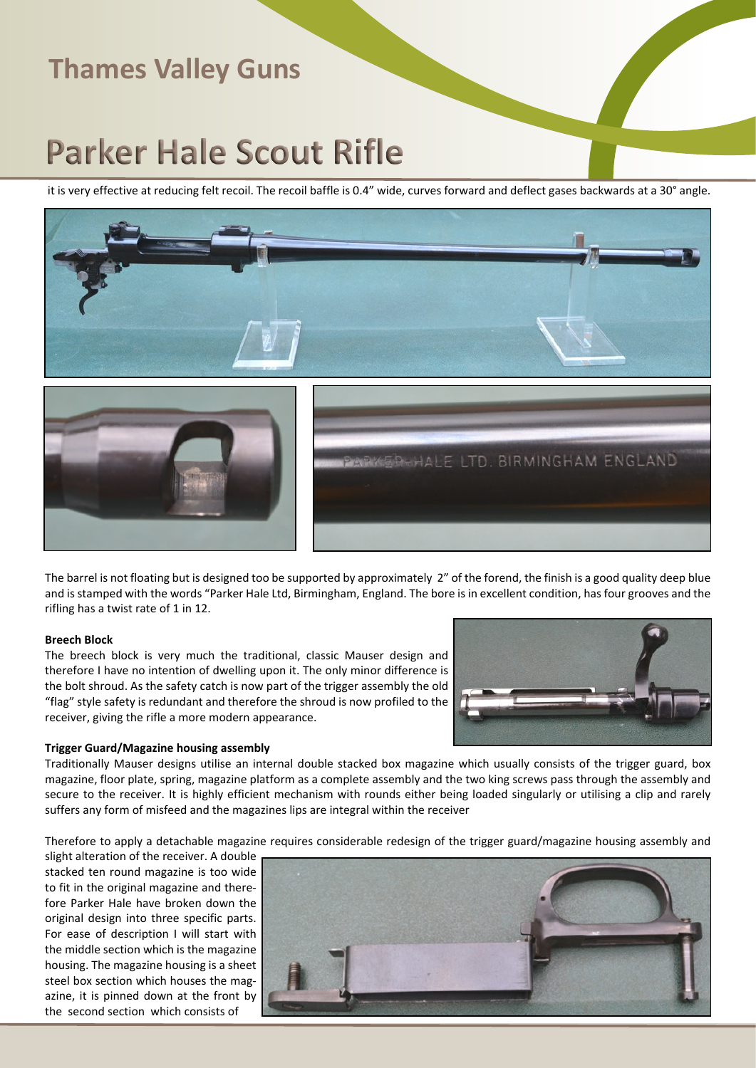# **Parker Hale Scout Rifle**

it is very effective at reducing felt recoil. The recoil baffle is 0.4" wide, curves forward and deflect gases backwards at a 30° angle.







The barrel is not floating but is designed too be supported by approximately 2" of the forend, the finish is a good quality deep blue and is stamped with the words "Parker Hale Ltd, Birmingham, England. The bore is in excellent condition, has four grooves and the rifling has a twist rate of 1 in 12.

#### **Breech Block**

The breech block is very much the traditional, classic Mauser design and therefore I have no intention of dwelling upon it. The only minor difference is the bolt shroud. As the safety catch is now part of the trigger assembly the old "flag" style safety is redundant and therefore the shroud is now profiled to the receiver, giving the rifle a more modern appearance.



#### **Trigger Guard/Magazine housing assembly**

Traditionally Mauser designs utilise an internal double stacked box magazine which usually consists of the trigger guard, box magazine, floor plate, spring, magazine platform as a complete assembly and the two king screws pass through the assembly and secure to the receiver. It is highly efficient mechanism with rounds either being loaded singularly or utilising a clip and rarely suffers any form of misfeed and the magazines lips are integral within the receiver

Therefore to apply a detachable magazine requires considerable redesign of the trigger guard/magazine housing assembly and

slight alteration of the receiver. A double stacked ten round magazine is too wide to fit in the original magazine and therefore Parker Hale have broken down the original design into three specific parts. For ease of description I will start with the middle section which is the magazine housing. The magazine housing is a sheet steel box section which houses the magazine, it is pinned down at the front by the second section which consists of

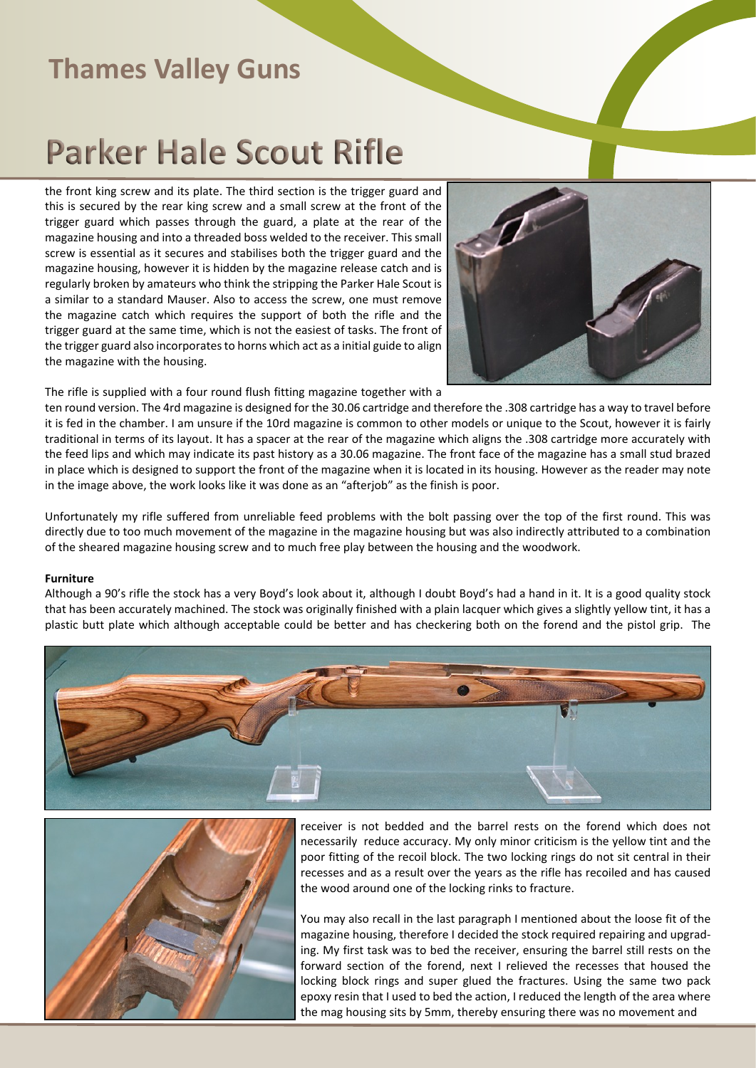# **Parker Hale Scout Rifle**

the front king screw and its plate. The third section is the trigger guard and this is secured by the rear king screw and a small screw at the front of the trigger guard which passes through the guard, a plate at the rear of the magazine housing and into a threaded boss welded to the receiver. This small screw is essential as it secures and stabilises both the trigger guard and the magazine housing, however it is hidden by the magazine release catch and is regularly broken by amateurs who think the stripping the Parker Hale Scout is a similar to a standard Mauser. Also to access the screw, one must remove the magazine catch which requires the support of both the rifle and the trigger guard at the same time, which is not the easiest of tasks. The front of the trigger guard also incorporates to horns which act as a initial guide to align the magazine with the housing.



The rifle is supplied with a four round flush fitting magazine together with a

ten round version. The 4rd magazine is designed for the 30.06 cartridge and therefore the .308 cartridge has a way to travel before it is fed in the chamber. I am unsure if the 10rd magazine is common to other models or unique to the Scout, however it is fairly traditional in terms of its layout. It has a spacer at the rear of the magazine which aligns the .308 cartridge more accurately with the feed lips and which may indicate its past history as a 30.06 magazine. The front face of the magazine has a small stud brazed in place which is designed to support the front of the magazine when it is located in its housing. However as the reader may note in the image above, the work looks like it was done as an "afterjob" as the finish is poor.

Unfortunately my rifle suffered from unreliable feed problems with the bolt passing over the top of the first round. This was directly due to too much movement of the magazine in the magazine housing but was also indirectly attributed to a combination of the sheared magazine housing screw and to much free play between the housing and the woodwork.

#### **Furniture**

Although a 90's rifle the stock has a very Boyd's look about it, although I doubt Boyd's had a hand in it. It is a good quality stock that has been accurately machined. The stock was originally finished with a plain lacquer which gives a slightly yellow tint, it has a plastic butt plate which although acceptable could be better and has checkering both on the forend and the pistol grip. The





receiver is not bedded and the barrel rests on the forend which does not necessarily reduce accuracy. My only minor criticism is the yellow tint and the poor fitting of the recoil block. The two locking rings do not sit central in their recesses and as a result over the years as the rifle has recoiled and has caused the wood around one of the locking rinks to fracture.

You may also recall in the last paragraph I mentioned about the loose fit of the magazine housing, therefore I decided the stock required repairing and upgrading. My first task was to bed the receiver, ensuring the barrel still rests on the forward section of the forend, next I relieved the recesses that housed the locking block rings and super glued the fractures. Using the same two pack epoxy resin that I used to bed the action, I reduced the length of the area where the mag housing sits by 5mm, thereby ensuring there was no movement and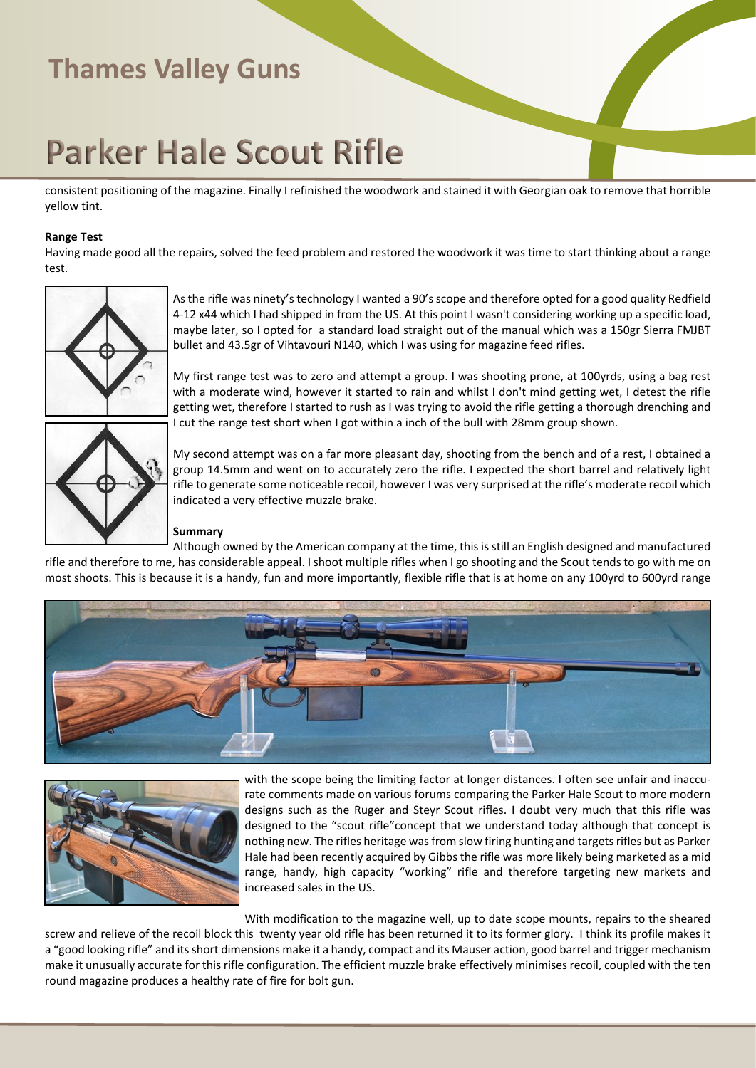# **Parker Hale Scout Rifle**

consistent positioning of the magazine. Finally I refinished the woodwork and stained it with Georgian oak to remove that horrible yellow tint.

#### **Range Test**

Having made good all the repairs, solved the feed problem and restored the woodwork it was time to start thinking about a range test.



As the rifle was ninety's technology I wanted a 90's scope and therefore opted for a good quality Redfield 4-12 x44 which I had shipped in from the US. At this point I wasn't considering working up a specific load, maybe later, so I opted for a standard load straight out of the manual which was a 150gr Sierra FMJBT bullet and 43.5gr of Vihtavouri N140, which I was using for magazine feed rifles.

My first range test was to zero and attempt a group. I was shooting prone, at 100yrds, using a bag rest with a moderate wind, however it started to rain and whilst I don't mind getting wet, I detest the rifle getting wet, therefore I started to rush as I was trying to avoid the rifle getting a thorough drenching and I cut the range test short when I got within a inch of the bull with 28mm group shown.



My second attempt was on a far more pleasant day, shooting from the bench and of a rest, I obtained a group 14.5mm and went on to accurately zero the rifle. I expected the short barrel and relatively light rifle to generate some noticeable recoil, however I was very surprised at the rifle's moderate recoil which indicated a very effective muzzle brake.

#### **Summary**

Although owned by the American company at the time, this is still an English designed and manufactured rifle and therefore to me, has considerable appeal. I shoot multiple rifles when I go shooting and the Scout tends to go with me on most shoots. This is because it is a handy, fun and more importantly, flexible rifle that is at home on any 100yrd to 600yrd range





with the scope being the limiting factor at longer distances. I often see unfair and inaccurate comments made on various forums comparing the Parker Hale Scout to more modern designs such as the Ruger and Steyr Scout rifles. I doubt very much that this rifle was designed to the "scout rifle"concept that we understand today although that concept is nothing new. The rifles heritage was from slow firing hunting and targets rifles but as Parker Hale had been recently acquired by Gibbs the rifle was more likely being marketed as a mid range, handy, high capacity "working" rifle and therefore targeting new markets and increased sales in the US.

With modification to the magazine well, up to date scope mounts, repairs to the sheared screw and relieve of the recoil block this twenty year old rifle has been returned it to its former glory. I think its profile makes it a "good looking rifle" and its short dimensions make it a handy, compact and its Mauser action, good barrel and trigger mechanism make it unusually accurate for this rifle configuration. The efficient muzzle brake effectively minimises recoil, coupled with the ten round magazine produces a healthy rate of fire for bolt gun.